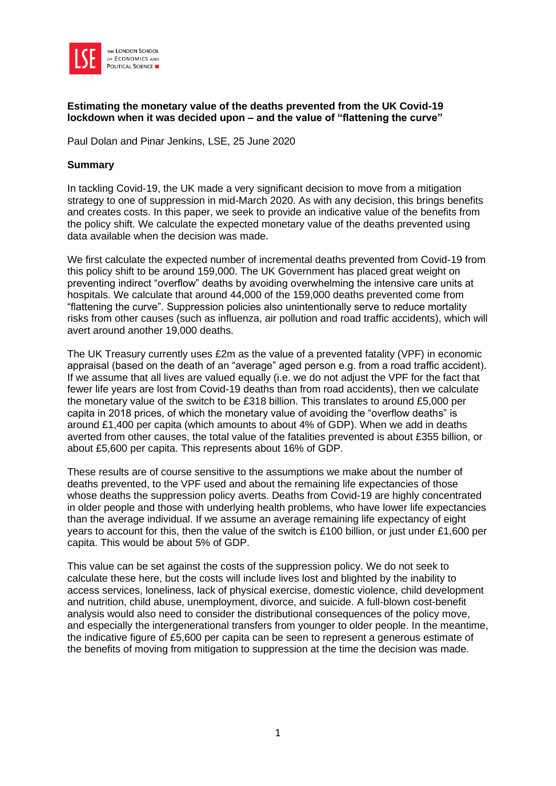

#### **Estimating the monetary value of the deaths prevented from the UK Covid-19 lockdown when it was decided upon – and the value of "flattening the curve"**

Paul Dolan and Pinar Jenkins, LSE, 25 June 2020

#### **Summary**

In tackling Covid-19, the UK made a very significant decision to move from a mitigation strategy to one of suppression in mid-March 2020. As with any decision, this brings benefits and creates costs. In this paper, we seek to provide an indicative value of the benefits from the policy shift. We calculate the expected monetary value of the deaths prevented using data available when the decision was made.

We first calculate the expected number of incremental deaths prevented from Covid-19 from this policy shift to be around 159,000. The UK Government has placed great weight on preventing indirect "overflow" deaths by avoiding overwhelming the intensive care units at hospitals. We calculate that around 44,000 of the 159,000 deaths prevented come from "flattening the curve". Suppression policies also unintentionally serve to reduce mortality risks from other causes (such as influenza, air pollution and road traffic accidents), which will avert around another 19,000 deaths.

The UK Treasury currently uses £2m as the value of a prevented fatality (VPF) in economic appraisal (based on the death of an "average" aged person e.g. from a road traffic accident). If we assume that all lives are valued equally (i.e. we do not adjust the VPF for the fact that fewer life years are lost from Covid-19 deaths than from road accidents), then we calculate the monetary value of the switch to be £318 billion. This translates to around £5,000 per capita in 2018 prices, of which the monetary value of avoiding the "overflow deaths" is around £1,400 per capita (which amounts to about 4% of GDP). When we add in deaths averted from other causes, the total value of the fatalities prevented is about £355 billion, or about £5,600 per capita. This represents about 16% of GDP.

These results are of course sensitive to the assumptions we make about the number of deaths prevented, to the VPF used and about the remaining life expectancies of those whose deaths the suppression policy averts. Deaths from Covid-19 are highly concentrated in older people and those with underlying health problems, who have lower life expectancies than the average individual. If we assume an average remaining life expectancy of eight years to account for this, then the value of the switch is £100 billion, or just under £1,600 per capita. This would be about 5% of GDP.

This value can be set against the costs of the suppression policy. We do not seek to calculate these here, but the costs will include lives lost and blighted by the inability to access services, loneliness, lack of physical exercise, domestic violence, child development and nutrition, child abuse, unemployment, divorce, and suicide. A full-blown cost-benefit analysis would also need to consider the distributional consequences of the policy move, and especially the intergenerational transfers from younger to older people. In the meantime, the indicative figure of £5,600 per capita can be seen to represent a generous estimate of the benefits of moving from mitigation to suppression at the time the decision was made.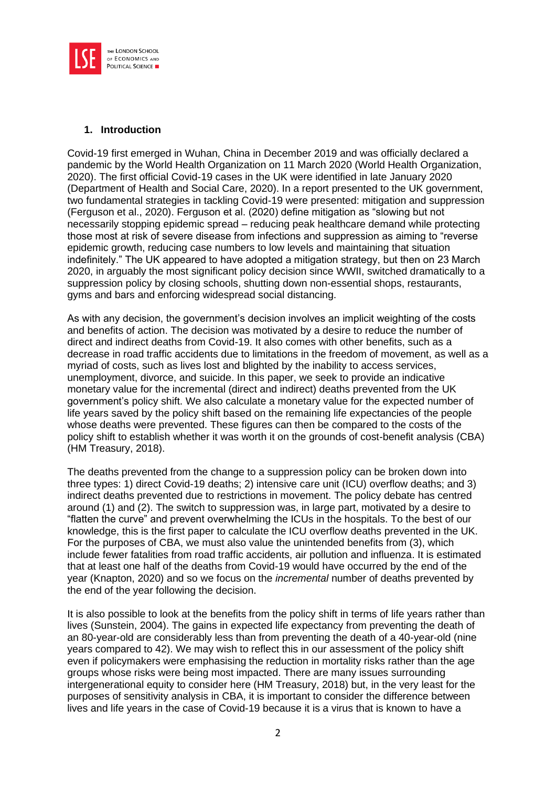

#### **1. Introduction**

Covid-19 first emerged in Wuhan, China in December 2019 and was officially declared a pandemic by the World Health Organization on 11 March 2020 (World Health Organization, 2020). The first official Covid-19 cases in the UK were identified in late January 2020 (Department of Health and Social Care, 2020). In a report presented to the UK government, two fundamental strategies in tackling Covid-19 were presented: mitigation and suppression (Ferguson et al., 2020). Ferguson et al. (2020) define mitigation as "slowing but not necessarily stopping epidemic spread – reducing peak healthcare demand while protecting those most at risk of severe disease from infections and suppression as aiming to "reverse epidemic growth, reducing case numbers to low levels and maintaining that situation indefinitely." The UK appeared to have adopted a mitigation strategy, but then on 23 March 2020, in arguably the most significant policy decision since WWII, switched dramatically to a suppression policy by closing schools, shutting down non-essential shops, restaurants, gyms and bars and enforcing widespread social distancing.

As with any decision, the government's decision involves an implicit weighting of the costs and benefits of action. The decision was motivated by a desire to reduce the number of direct and indirect deaths from Covid-19. It also comes with other benefits, such as a decrease in road traffic accidents due to limitations in the freedom of movement, as well as a myriad of costs, such as lives lost and blighted by the inability to access services, unemployment, divorce, and suicide. In this paper, we seek to provide an indicative monetary value for the incremental (direct and indirect) deaths prevented from the UK government's policy shift. We also calculate a monetary value for the expected number of life years saved by the policy shift based on the remaining life expectancies of the people whose deaths were prevented. These figures can then be compared to the costs of the policy shift to establish whether it was worth it on the grounds of cost-benefit analysis (CBA) (HM Treasury, 2018).

The deaths prevented from the change to a suppression policy can be broken down into three types: 1) direct Covid-19 deaths; 2) intensive care unit (ICU) overflow deaths; and 3) indirect deaths prevented due to restrictions in movement. The policy debate has centred around (1) and (2). The switch to suppression was, in large part, motivated by a desire to "flatten the curve" and prevent overwhelming the ICUs in the hospitals. To the best of our knowledge, this is the first paper to calculate the ICU overflow deaths prevented in the UK. For the purposes of CBA, we must also value the unintended benefits from (3), which include fewer fatalities from road traffic accidents, air pollution and influenza. It is estimated that at least one half of the deaths from Covid-19 would have occurred by the end of the year (Knapton, 2020) and so we focus on the *incremental* number of deaths prevented by the end of the year following the decision.

It is also possible to look at the benefits from the policy shift in terms of life years rather than lives (Sunstein, 2004). The gains in expected life expectancy from preventing the death of an 80-year-old are considerably less than from preventing the death of a 40-year-old (nine years compared to 42). We may wish to reflect this in our assessment of the policy shift even if policymakers were emphasising the reduction in mortality risks rather than the age groups whose risks were being most impacted. There are many issues surrounding intergenerational equity to consider here (HM Treasury, 2018) but, in the very least for the purposes of sensitivity analysis in CBA, it is important to consider the difference between lives and life years in the case of Covid-19 because it is a virus that is known to have a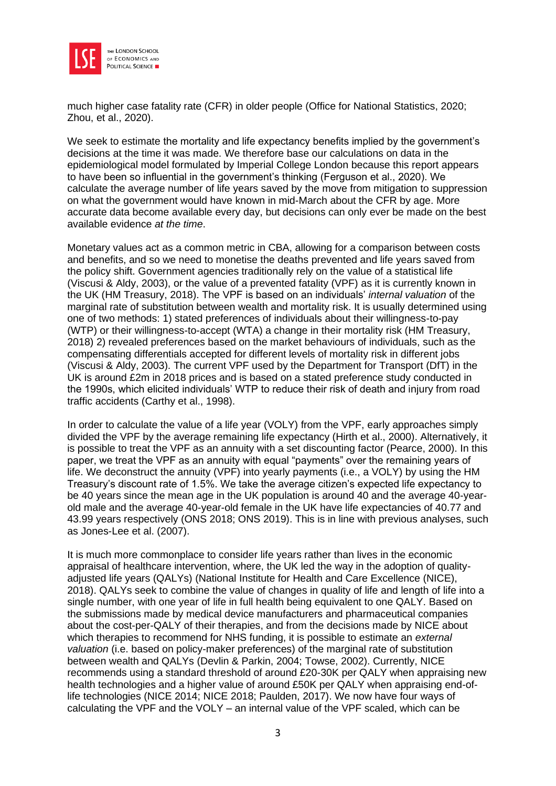

much higher case fatality rate (CFR) in older people (Office for National Statistics, 2020; Zhou, et al., 2020).

We seek to estimate the mortality and life expectancy benefits implied by the government's decisions at the time it was made. We therefore base our calculations on data in the epidemiological model formulated by Imperial College London because this report appears to have been so influential in the government's thinking (Ferguson et al., 2020). We calculate the average number of life years saved by the move from mitigation to suppression on what the government would have known in mid-March about the CFR by age. More accurate data become available every day, but decisions can only ever be made on the best available evidence *at the time*.

Monetary values act as a common metric in CBA, allowing for a comparison between costs and benefits, and so we need to monetise the deaths prevented and life years saved from the policy shift. Government agencies traditionally rely on the value of a statistical life (Viscusi & Aldy, 2003), or the value of a prevented fatality (VPF) as it is currently known in the UK (HM Treasury, 2018). The VPF is based on an individuals' *internal valuation* of the marginal rate of substitution between wealth and mortality risk. It is usually determined using one of two methods: 1) stated preferences of individuals about their willingness-to-pay (WTP) or their willingness-to-accept (WTA) a change in their mortality risk (HM Treasury, 2018) 2) revealed preferences based on the market behaviours of individuals, such as the compensating differentials accepted for different levels of mortality risk in different jobs (Viscusi & Aldy, 2003). The current VPF used by the Department for Transport (DfT) in the UK is around £2m in 2018 prices and is based on a stated preference study conducted in the 1990s, which elicited individuals' WTP to reduce their risk of death and injury from road traffic accidents (Carthy et al., 1998).

In order to calculate the value of a life year (VOLY) from the VPF, early approaches simply divided the VPF by the average remaining life expectancy (Hirth et al., 2000). Alternatively, it is possible to treat the VPF as an annuity with a set discounting factor (Pearce, 2000). In this paper, we treat the VPF as an annuity with equal "payments" over the remaining years of life. We deconstruct the annuity (VPF) into yearly payments (i.e., a VOLY) by using the HM Treasury's discount rate of 1.5%. We take the average citizen's expected life expectancy to be 40 years since the mean age in the UK population is around 40 and the average 40-yearold male and the average 40-year-old female in the UK have life expectancies of 40.77 and 43.99 years respectively (ONS 2018; ONS 2019). This is in line with previous analyses, such as Jones-Lee et al. (2007).

It is much more commonplace to consider life years rather than lives in the economic appraisal of healthcare intervention, where, the UK led the way in the adoption of qualityadjusted life years (QALYs) (National Institute for Health and Care Excellence (NICE), 2018). QALYs seek to combine the value of changes in quality of life and length of life into a single number, with one year of life in full health being equivalent to one QALY. Based on the submissions made by medical device manufacturers and pharmaceutical companies about the cost-per-QALY of their therapies, and from the decisions made by NICE about which therapies to recommend for NHS funding, it is possible to estimate an *external valuation* (i.e. based on policy-maker preferences) of the marginal rate of substitution between wealth and QALYs (Devlin & Parkin, 2004; Towse, 2002). Currently, NICE recommends using a standard threshold of around £20-30K per QALY when appraising new health technologies and a higher value of around £50K per QALY when appraising end-oflife technologies (NICE 2014; NICE 2018; Paulden, 2017). We now have four ways of calculating the VPF and the VOLY – an internal value of the VPF scaled, which can be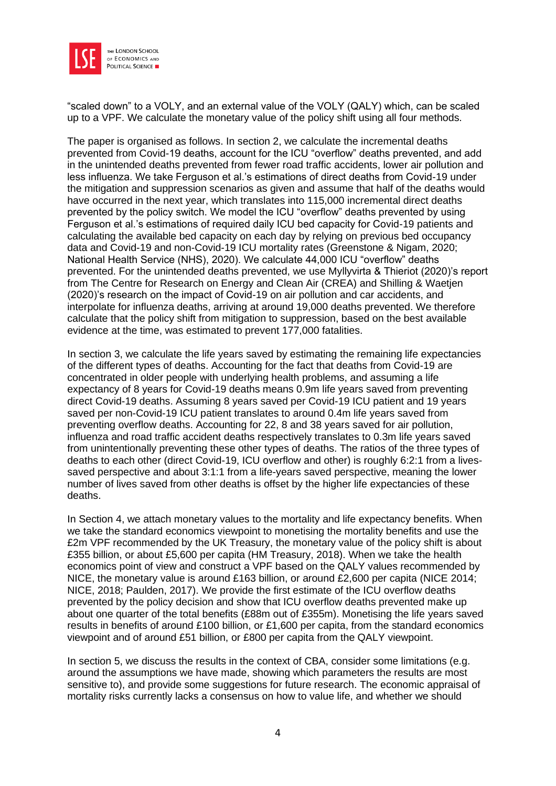

"scaled down" to a VOLY, and an external value of the VOLY (QALY) which, can be scaled up to a VPF. We calculate the monetary value of the policy shift using all four methods.

The paper is organised as follows. In section 2, we calculate the incremental deaths prevented from Covid-19 deaths, account for the ICU "overflow" deaths prevented, and add in the unintended deaths prevented from fewer road traffic accidents, lower air pollution and less influenza. We take Ferguson et al.'s estimations of direct deaths from Covid-19 under the mitigation and suppression scenarios as given and assume that half of the deaths would have occurred in the next year, which translates into 115,000 incremental direct deaths prevented by the policy switch. We model the ICU "overflow" deaths prevented by using Ferguson et al.'s estimations of required daily ICU bed capacity for Covid-19 patients and calculating the available bed capacity on each day by relying on previous bed occupancy data and Covid-19 and non-Covid-19 ICU mortality rates (Greenstone & Nigam, 2020; National Health Service (NHS), 2020). We calculate 44,000 ICU "overflow" deaths prevented. For the unintended deaths prevented, we use Myllyvirta & Thieriot (2020)'s report from The Centre for Research on Energy and Clean Air (CREA) and Shilling & Waetjen (2020)'s research on the impact of Covid-19 on air pollution and car accidents, and interpolate for influenza deaths, arriving at around 19,000 deaths prevented. We therefore calculate that the policy shift from mitigation to suppression, based on the best available evidence at the time, was estimated to prevent 177,000 fatalities.

In section 3, we calculate the life years saved by estimating the remaining life expectancies of the different types of deaths. Accounting for the fact that deaths from Covid-19 are concentrated in older people with underlying health problems, and assuming a life expectancy of 8 years for Covid-19 deaths means 0.9m life years saved from preventing direct Covid-19 deaths. Assuming 8 years saved per Covid-19 ICU patient and 19 years saved per non-Covid-19 ICU patient translates to around 0.4m life years saved from preventing overflow deaths. Accounting for 22, 8 and 38 years saved for air pollution, influenza and road traffic accident deaths respectively translates to 0.3m life years saved from unintentionally preventing these other types of deaths. The ratios of the three types of deaths to each other (direct Covid-19, ICU overflow and other) is roughly 6:2:1 from a livessaved perspective and about 3:1:1 from a life-years saved perspective, meaning the lower number of lives saved from other deaths is offset by the higher life expectancies of these deaths.

In Section 4, we attach monetary values to the mortality and life expectancy benefits. When we take the standard economics viewpoint to monetising the mortality benefits and use the £2m VPF recommended by the UK Treasury, the monetary value of the policy shift is about £355 billion, or about £5,600 per capita (HM Treasury, 2018). When we take the health economics point of view and construct a VPF based on the QALY values recommended by NICE, the monetary value is around £163 billion, or around £2,600 per capita (NICE 2014; NICE, 2018; Paulden, 2017). We provide the first estimate of the ICU overflow deaths prevented by the policy decision and show that ICU overflow deaths prevented make up about one quarter of the total benefits (£88m out of £355m). Monetising the life years saved results in benefits of around £100 billion, or £1,600 per capita, from the standard economics viewpoint and of around £51 billion, or £800 per capita from the QALY viewpoint.

In section 5, we discuss the results in the context of CBA, consider some limitations (e.g. around the assumptions we have made, showing which parameters the results are most sensitive to), and provide some suggestions for future research. The economic appraisal of mortality risks currently lacks a consensus on how to value life, and whether we should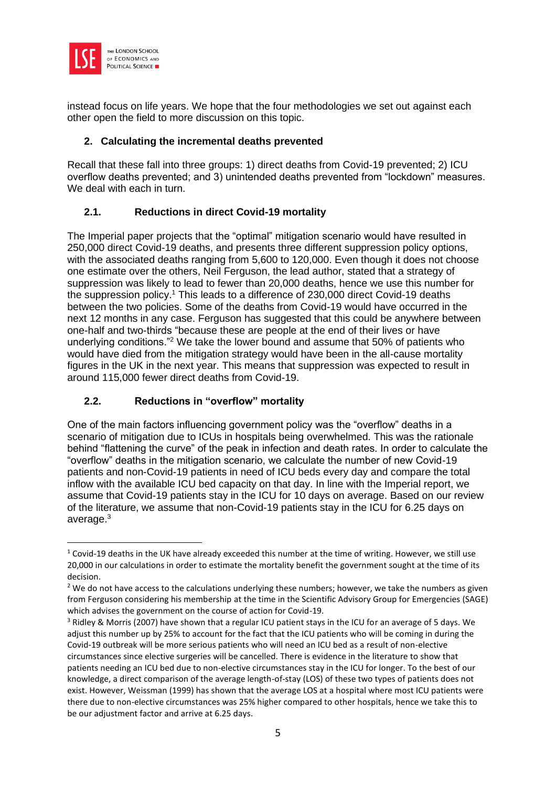

instead focus on life years. We hope that the four methodologies we set out against each other open the field to more discussion on this topic.

#### **2. Calculating the incremental deaths prevented**

Recall that these fall into three groups: 1) direct deaths from Covid-19 prevented; 2) ICU overflow deaths prevented; and 3) unintended deaths prevented from "lockdown" measures. We deal with each in turn.

# **2.1. Reductions in direct Covid-19 mortality**

The Imperial paper projects that the "optimal" mitigation scenario would have resulted in 250,000 direct Covid-19 deaths, and presents three different suppression policy options, with the associated deaths ranging from 5,600 to 120,000. Even though it does not choose one estimate over the others, Neil Ferguson, the lead author, stated that a strategy of suppression was likely to lead to fewer than 20,000 deaths, hence we use this number for the suppression policy.<sup>1</sup> This leads to a difference of 230,000 direct Covid-19 deaths between the two policies. Some of the deaths from Covid-19 would have occurred in the next 12 months in any case. Ferguson has suggested that this could be anywhere between one-half and two-thirds "because these are people at the end of their lives or have underlying conditions."<sup>2</sup> We take the lower bound and assume that 50% of patients who would have died from the mitigation strategy would have been in the all-cause mortality figures in the UK in the next year. This means that suppression was expected to result in around 115,000 fewer direct deaths from Covid-19.

# **2.2. Reductions in "overflow" mortality**

One of the main factors influencing government policy was the "overflow" deaths in a scenario of mitigation due to ICUs in hospitals being overwhelmed. This was the rationale behind "flattening the curve" of the peak in infection and death rates. In order to calculate the "overflow" deaths in the mitigation scenario, we calculate the number of new Covid-19 patients and non-Covid-19 patients in need of ICU beds every day and compare the total inflow with the available ICU bed capacity on that day. In line with the Imperial report, we assume that Covid-19 patients stay in the ICU for 10 days on average. Based on our review of the literature, we assume that non-Covid-19 patients stay in the ICU for 6.25 days on average.<sup>3</sup>

<sup>&</sup>lt;sup>1</sup> Covid-19 deaths in the UK have already exceeded this number at the time of writing. However, we still use 20,000 in our calculations in order to estimate the mortality benefit the government sought at the time of its decision.

<sup>&</sup>lt;sup>2</sup> We do not have access to the calculations underlying these numbers; however, we take the numbers as given from Ferguson considering his membership at the time in the Scientific Advisory Group for Emergencies (SAGE) which advises the government on the course of action for Covid-19.

<sup>&</sup>lt;sup>3</sup> Ridley & Morris (2007) have shown that a regular ICU patient stays in the ICU for an average of 5 days. We adjust this number up by 25% to account for the fact that the ICU patients who will be coming in during the Covid-19 outbreak will be more serious patients who will need an ICU bed as a result of non-elective circumstances since elective surgeries will be cancelled. There is evidence in the literature to show that patients needing an ICU bed due to non-elective circumstances stay in the ICU for longer. To the best of our knowledge, a direct comparison of the average length-of-stay (LOS) of these two types of patients does not exist. However, Weissman (1999) has shown that the average LOS at a hospital where most ICU patients were there due to non-elective circumstances was 25% higher compared to other hospitals, hence we take this to be our adjustment factor and arrive at 6.25 days.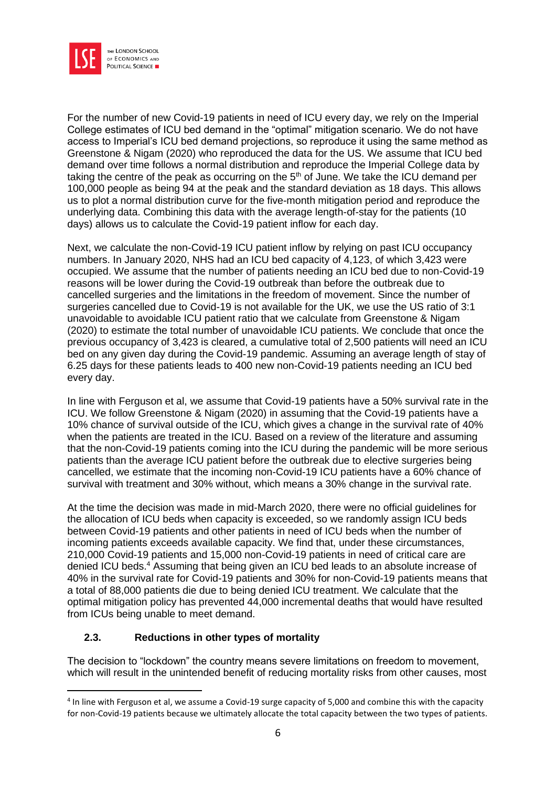

For the number of new Covid-19 patients in need of ICU every day, we rely on the Imperial College estimates of ICU bed demand in the "optimal" mitigation scenario. We do not have access to Imperial's ICU bed demand projections, so reproduce it using the same method as Greenstone & Nigam (2020) who reproduced the data for the US. We assume that ICU bed demand over time follows a normal distribution and reproduce the Imperial College data by taking the centre of the peak as occurring on the  $5<sup>th</sup>$  of June. We take the ICU demand per 100,000 people as being 94 at the peak and the standard deviation as 18 days. This allows us to plot a normal distribution curve for the five-month mitigation period and reproduce the underlying data. Combining this data with the average length-of-stay for the patients (10 days) allows us to calculate the Covid-19 patient inflow for each day.

Next, we calculate the non-Covid-19 ICU patient inflow by relying on past ICU occupancy numbers. In January 2020, NHS had an ICU bed capacity of 4,123, of which 3,423 were occupied. We assume that the number of patients needing an ICU bed due to non-Covid-19 reasons will be lower during the Covid-19 outbreak than before the outbreak due to cancelled surgeries and the limitations in the freedom of movement. Since the number of surgeries cancelled due to Covid-19 is not available for the UK, we use the US ratio of 3:1 unavoidable to avoidable ICU patient ratio that we calculate from Greenstone & Nigam (2020) to estimate the total number of unavoidable ICU patients. We conclude that once the previous occupancy of 3,423 is cleared, a cumulative total of 2,500 patients will need an ICU bed on any given day during the Covid-19 pandemic. Assuming an average length of stay of 6.25 days for these patients leads to 400 new non-Covid-19 patients needing an ICU bed every day.

In line with Ferguson et al, we assume that Covid-19 patients have a 50% survival rate in the ICU. We follow Greenstone & Nigam (2020) in assuming that the Covid-19 patients have a 10% chance of survival outside of the ICU, which gives a change in the survival rate of 40% when the patients are treated in the ICU. Based on a review of the literature and assuming that the non-Covid-19 patients coming into the ICU during the pandemic will be more serious patients than the average ICU patient before the outbreak due to elective surgeries being cancelled, we estimate that the incoming non-Covid-19 ICU patients have a 60% chance of survival with treatment and 30% without, which means a 30% change in the survival rate.

At the time the decision was made in mid-March 2020, there were no official guidelines for the allocation of ICU beds when capacity is exceeded, so we randomly assign ICU beds between Covid-19 patients and other patients in need of ICU beds when the number of incoming patients exceeds available capacity. We find that, under these circumstances, 210,000 Covid-19 patients and 15,000 non-Covid-19 patients in need of critical care are denied ICU beds.<sup>4</sup> Assuming that being given an ICU bed leads to an absolute increase of 40% in the survival rate for Covid-19 patients and 30% for non-Covid-19 patients means that a total of 88,000 patients die due to being denied ICU treatment. We calculate that the optimal mitigation policy has prevented 44,000 incremental deaths that would have resulted from ICUs being unable to meet demand.

# **2.3. Reductions in other types of mortality**

The decision to "lockdown" the country means severe limitations on freedom to movement, which will result in the unintended benefit of reducing mortality risks from other causes, most

<sup>&</sup>lt;sup>4</sup> In line with Ferguson et al, we assume a Covid-19 surge capacity of 5,000 and combine this with the capacity for non-Covid-19 patients because we ultimately allocate the total capacity between the two types of patients.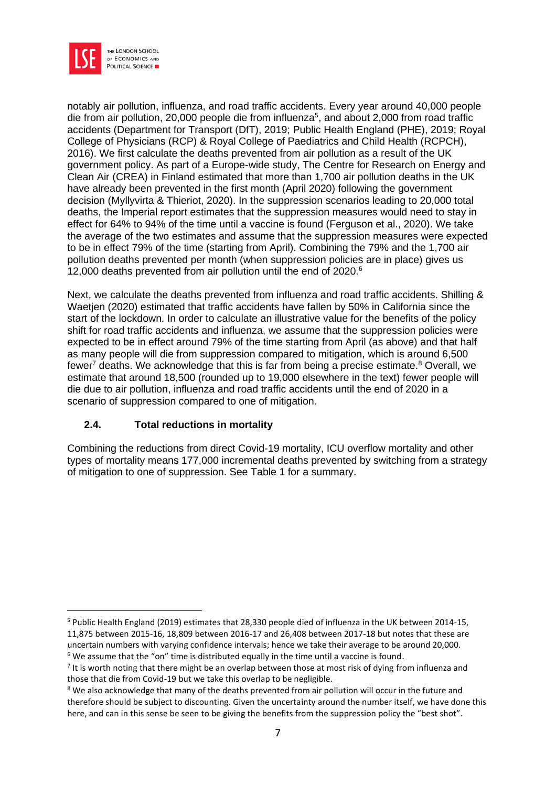

notably air pollution, influenza, and road traffic accidents. Every year around 40,000 people die from air pollution, 20,000 people die from influenza<sup>5</sup>, and about 2,000 from road traffic accidents (Department for Transport (DfT), 2019; Public Health England (PHE), 2019; Royal College of Physicians (RCP) & Royal College of Paediatrics and Child Health (RCPCH), 2016). We first calculate the deaths prevented from air pollution as a result of the UK government policy. As part of a Europe-wide study, The Centre for Research on Energy and Clean Air (CREA) in Finland estimated that more than 1,700 air pollution deaths in the UK have already been prevented in the first month (April 2020) following the government decision (Myllyvirta & Thieriot, 2020). In the suppression scenarios leading to 20,000 total deaths, the Imperial report estimates that the suppression measures would need to stay in effect for 64% to 94% of the time until a vaccine is found (Ferguson et al., 2020). We take the average of the two estimates and assume that the suppression measures were expected to be in effect 79% of the time (starting from April). Combining the 79% and the 1,700 air pollution deaths prevented per month (when suppression policies are in place) gives us 12,000 deaths prevented from air pollution until the end of 2020.<sup>6</sup>

Next, we calculate the deaths prevented from influenza and road traffic accidents. Shilling & Waetjen (2020) estimated that traffic accidents have fallen by 50% in California since the start of the lockdown. In order to calculate an illustrative value for the benefits of the policy shift for road traffic accidents and influenza, we assume that the suppression policies were expected to be in effect around 79% of the time starting from April (as above) and that half as many people will die from suppression compared to mitigation, which is around 6,500 fewer<sup>7</sup> deaths. We acknowledge that this is far from being a precise estimate.<sup>8</sup> Overall, we estimate that around 18,500 (rounded up to 19,000 elsewhere in the text) fewer people will die due to air pollution, influenza and road traffic accidents until the end of 2020 in a scenario of suppression compared to one of mitigation.

# **2.4. Total reductions in mortality**

Combining the reductions from direct Covid-19 mortality, ICU overflow mortality and other types of mortality means 177,000 incremental deaths prevented by switching from a strategy of mitigation to one of suppression. See Table 1 for a summary.

<sup>5</sup> Public Health England (2019) estimates that 28,330 people died of influenza in the UK between 2014-15, 11,875 between 2015-16, 18,809 between 2016-17 and 26,408 between 2017-18 but notes that these are uncertain numbers with varying confidence intervals; hence we take their average to be around 20,000. <sup>6</sup> We assume that the "on" time is distributed equally in the time until a vaccine is found.

<sup>&</sup>lt;sup>7</sup> It is worth noting that there might be an overlap between those at most risk of dying from influenza and those that die from Covid-19 but we take this overlap to be negligible.

<sup>&</sup>lt;sup>8</sup> We also acknowledge that many of the deaths prevented from air pollution will occur in the future and therefore should be subject to discounting. Given the uncertainty around the number itself, we have done this here, and can in this sense be seen to be giving the benefits from the suppression policy the "best shot".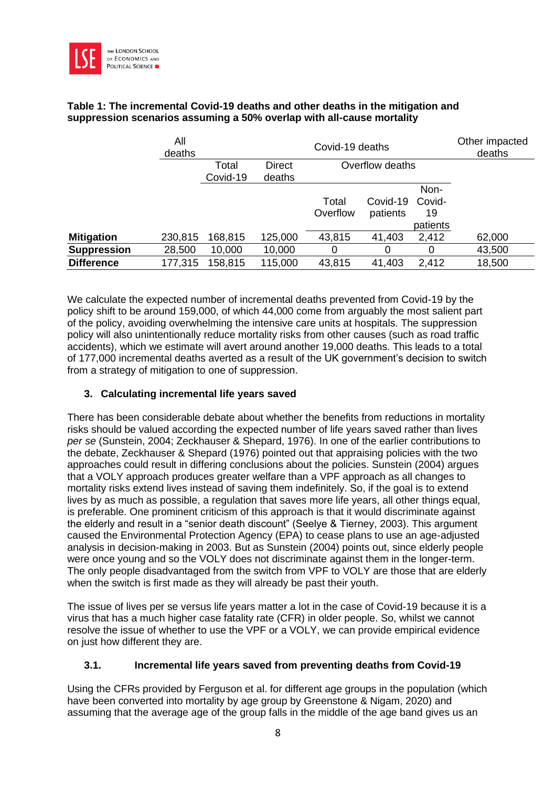

#### **Table 1: The incremental Covid-19 deaths and other deaths in the mitigation and suppression scenarios assuming a 50% overlap with all-cause mortality**

|                    | All<br>deaths |          | Other impacted<br>deaths |                   |                      |                                  |        |
|--------------------|---------------|----------|--------------------------|-------------------|----------------------|----------------------------------|--------|
|                    |               | Total    | <b>Direct</b>            |                   |                      |                                  |        |
|                    |               | Covid-19 | deaths                   |                   |                      |                                  |        |
|                    |               |          |                          | Total<br>Overflow | Covid-19<br>patients | Non-<br>Covid-<br>19<br>patients |        |
| <b>Mitigation</b>  | 230,815       | 168,815  | 125,000                  | 43,815            | 41,403               | 2,412                            | 62,000 |
| <b>Suppression</b> | 28,500        | 10,000   | 10,000                   | 0                 | 0                    | 0                                | 43,500 |
| <b>Difference</b>  | 177,315       | 158,815  | 115,000                  | 43,815            | 41,403               | 2,412                            | 18,500 |

We calculate the expected number of incremental deaths prevented from Covid-19 by the policy shift to be around 159,000, of which 44,000 come from arguably the most salient part of the policy, avoiding overwhelming the intensive care units at hospitals. The suppression policy will also unintentionally reduce mortality risks from other causes (such as road traffic accidents), which we estimate will avert around another 19,000 deaths. This leads to a total of 177,000 incremental deaths averted as a result of the UK government's decision to switch from a strategy of mitigation to one of suppression.

# **3. Calculating incremental life years saved**

There has been considerable debate about whether the benefits from reductions in mortality risks should be valued according the expected number of life years saved rather than lives *per se* (Sunstein, 2004; Zeckhauser & Shepard, 1976). In one of the earlier contributions to the debate, Zeckhauser & Shepard (1976) pointed out that appraising policies with the two approaches could result in differing conclusions about the policies. Sunstein (2004) argues that a VOLY approach produces greater welfare than a VPF approach as all changes to mortality risks extend lives instead of saving them indefinitely. So, if the goal is to extend lives by as much as possible, a regulation that saves more life years, all other things equal, is preferable. One prominent criticism of this approach is that it would discriminate against the elderly and result in a "senior death discount" (Seelye & Tierney, 2003). This argument caused the Environmental Protection Agency (EPA) to cease plans to use an age-adjusted analysis in decision-making in 2003. But as Sunstein (2004) points out, since elderly people were once young and so the VOLY does not discriminate against them in the longer-term. The only people disadvantaged from the switch from VPF to VOLY are those that are elderly when the switch is first made as they will already be past their youth.

The issue of lives per se versus life years matter a lot in the case of Covid-19 because it is a virus that has a much higher case fatality rate (CFR) in older people. So, whilst we cannot resolve the issue of whether to use the VPF or a VOLY, we can provide empirical evidence on just how different they are.

# **3.1. Incremental life years saved from preventing deaths from Covid-19**

Using the CFRs provided by Ferguson et al. for different age groups in the population (which have been converted into mortality by age group by Greenstone & Nigam, 2020) and assuming that the average age of the group falls in the middle of the age band gives us an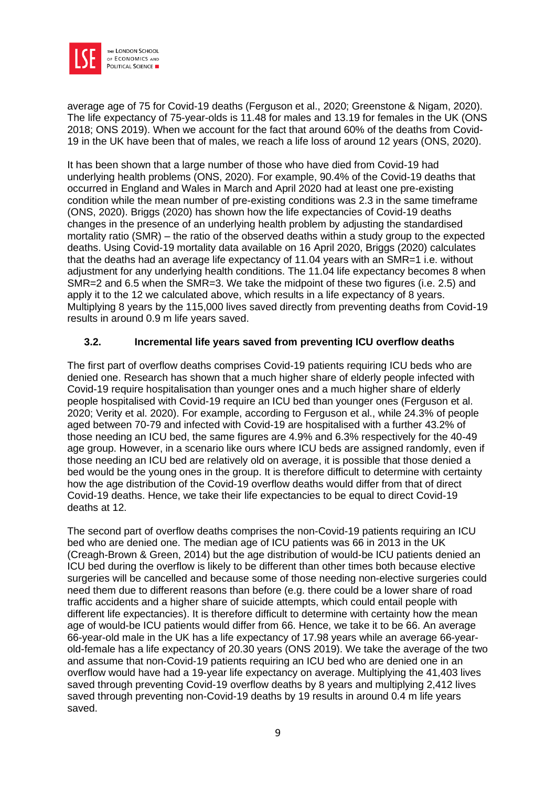

average age of 75 for Covid-19 deaths (Ferguson et al., 2020; Greenstone & Nigam, 2020). The life expectancy of 75-year-olds is 11.48 for males and 13.19 for females in the UK (ONS 2018; ONS 2019). When we account for the fact that around 60% of the deaths from Covid-19 in the UK have been that of males, we reach a life loss of around 12 years (ONS, 2020).

It has been shown that a large number of those who have died from Covid-19 had underlying health problems (ONS, 2020). For example, 90.4% of the Covid-19 deaths that occurred in England and Wales in March and April 2020 had at least one pre-existing condition while the mean number of pre-existing conditions was 2.3 in the same timeframe (ONS, 2020). Briggs (2020) has shown how the life expectancies of Covid-19 deaths changes in the presence of an underlying health problem by adjusting the standardised mortality ratio (SMR) – the ratio of the observed deaths within a study group to the expected deaths. Using Covid-19 mortality data available on 16 April 2020, Briggs (2020) calculates that the deaths had an average life expectancy of 11.04 years with an SMR=1 i.e. without adjustment for any underlying health conditions. The 11.04 life expectancy becomes 8 when SMR=2 and 6.5 when the SMR=3. We take the midpoint of these two figures (i.e. 2.5) and apply it to the 12 we calculated above, which results in a life expectancy of 8 years. Multiplying 8 years by the 115,000 lives saved directly from preventing deaths from Covid-19 results in around 0.9 m life years saved.

# **3.2. Incremental life years saved from preventing ICU overflow deaths**

The first part of overflow deaths comprises Covid-19 patients requiring ICU beds who are denied one. Research has shown that a much higher share of elderly people infected with Covid-19 require hospitalisation than younger ones and a much higher share of elderly people hospitalised with Covid-19 require an ICU bed than younger ones (Ferguson et al. 2020; Verity et al. 2020). For example, according to Ferguson et al., while 24.3% of people aged between 70-79 and infected with Covid-19 are hospitalised with a further 43.2% of those needing an ICU bed, the same figures are 4.9% and 6.3% respectively for the 40-49 age group. However, in a scenario like ours where ICU beds are assigned randomly, even if those needing an ICU bed are relatively old on average, it is possible that those denied a bed would be the young ones in the group. It is therefore difficult to determine with certainty how the age distribution of the Covid-19 overflow deaths would differ from that of direct Covid-19 deaths. Hence, we take their life expectancies to be equal to direct Covid-19 deaths at 12.

The second part of overflow deaths comprises the non-Covid-19 patients requiring an ICU bed who are denied one. The median age of ICU patients was 66 in 2013 in the UK (Creagh-Brown & Green, 2014) but the age distribution of would-be ICU patients denied an ICU bed during the overflow is likely to be different than other times both because elective surgeries will be cancelled and because some of those needing non-elective surgeries could need them due to different reasons than before (e.g. there could be a lower share of road traffic accidents and a higher share of suicide attempts, which could entail people with different life expectancies). It is therefore difficult to determine with certainty how the mean age of would-be ICU patients would differ from 66. Hence, we take it to be 66. An average 66-year-old male in the UK has a life expectancy of 17.98 years while an average 66-yearold-female has a life expectancy of 20.30 years (ONS 2019). We take the average of the two and assume that non-Covid-19 patients requiring an ICU bed who are denied one in an overflow would have had a 19-year life expectancy on average. Multiplying the 41,403 lives saved through preventing Covid-19 overflow deaths by 8 years and multiplying 2,412 lives saved through preventing non-Covid-19 deaths by 19 results in around 0.4 m life years saved.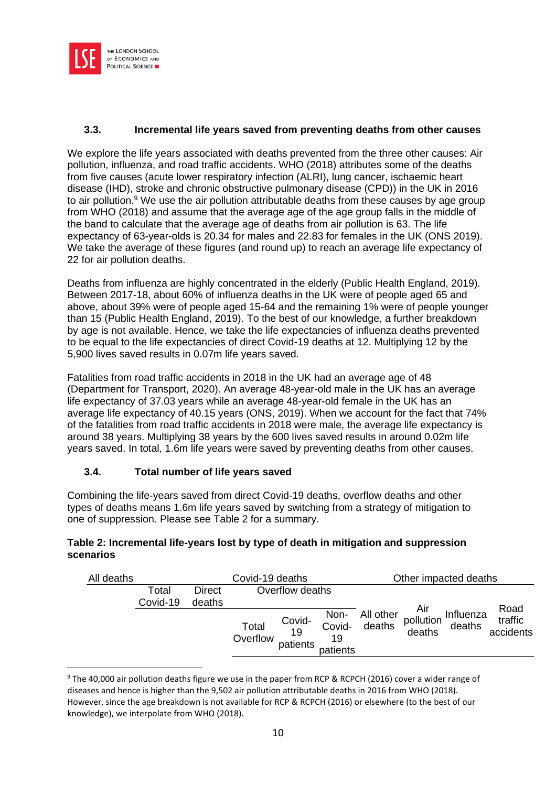

#### **3.3. Incremental life years saved from preventing deaths from other causes**

We explore the life years associated with deaths prevented from the three other causes: Air pollution, influenza, and road traffic accidents. WHO (2018) attributes some of the deaths from five causes (acute lower respiratory infection (ALRI), lung cancer, ischaemic heart disease (IHD), stroke and chronic obstructive pulmonary disease (CPD)) in the UK in 2016 to air pollution.<sup>9</sup> We use the air pollution attributable deaths from these causes by age group from WHO (2018) and assume that the average age of the age group falls in the middle of the band to calculate that the average age of deaths from air pollution is 63. The life expectancy of 63-year-olds is 20.34 for males and 22.83 for females in the UK (ONS 2019). We take the average of these figures (and round up) to reach an average life expectancy of 22 for air pollution deaths.

Deaths from influenza are highly concentrated in the elderly (Public Health England, 2019). Between 2017-18, about 60% of influenza deaths in the UK were of people aged 65 and above, about 39% were of people aged 15-64 and the remaining 1% were of people younger than 15 (Public Health England, 2019). To the best of our knowledge, a further breakdown by age is not available. Hence, we take the life expectancies of influenza deaths prevented to be equal to the life expectancies of direct Covid-19 deaths at 12. Multiplying 12 by the 5,900 lives saved results in 0.07m life years saved.

Fatalities from road traffic accidents in 2018 in the UK had an average age of 48 (Department for Transport, 2020). An average 48-year-old male in the UK has an average life expectancy of 37.03 years while an average 48-year-old female in the UK has an average life expectancy of 40.15 years (ONS, 2019). When we account for the fact that 74% of the fatalities from road traffic accidents in 2018 were male, the average life expectancy is around 38 years. Multiplying 38 years by the 600 lives saved results in around 0.02m life years saved. In total, 1.6m life years were saved by preventing deaths from other causes.

# **3.4. Total number of life years saved**

Combining the life-years saved from direct Covid-19 deaths, overflow deaths and other types of deaths means 1.6m life years saved by switching from a strategy of mitigation to one of suppression. Please see Table 2 for a summary.

#### **Table 2: Incremental life-years lost by type of death in mitigation and suppression scenarios**

| All deaths | Covid-19 deaths   |                         |                   |                          |                                  | Other impacted deaths |                            |                     |                              |
|------------|-------------------|-------------------------|-------------------|--------------------------|----------------------------------|-----------------------|----------------------------|---------------------|------------------------------|
|            | Total<br>Covid-19 | <b>Direct</b><br>deaths |                   | Overflow deaths          |                                  |                       |                            |                     |                              |
|            |                   |                         | Total<br>Overflow | Covid-<br>19<br>patients | Non-<br>Covid-<br>19<br>patients | All other<br>deaths   | Air<br>pollution<br>deaths | Influenza<br>deaths | Road<br>traffic<br>accidents |

<sup>&</sup>lt;sup>9</sup> The 40,000 air pollution deaths figure we use in the paper from RCP & RCPCH (2016) cover a wider range of diseases and hence is higher than the 9,502 air pollution attributable deaths in 2016 from WHO (2018). However, since the age breakdown is not available for RCP & RCPCH (2016) or elsewhere (to the best of our knowledge), we interpolate from WHO (2018).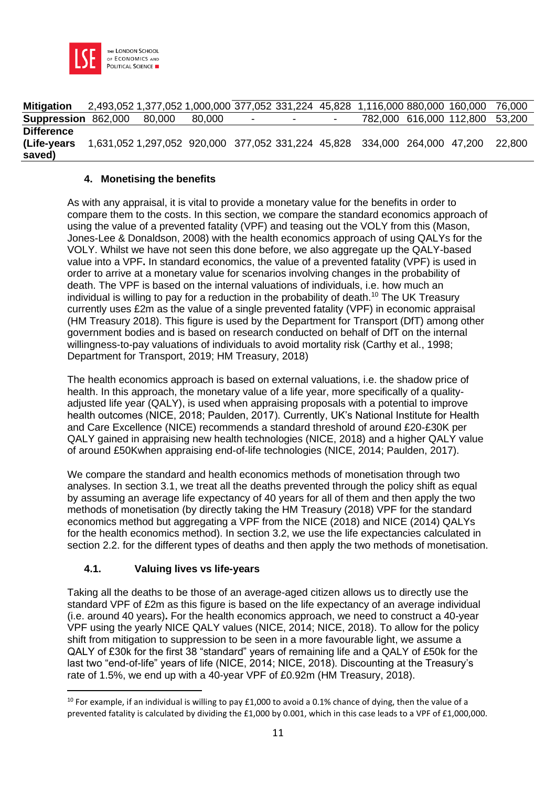

| <b>Mitigation</b>          | 2,493,052 1,377,052 1,000,000 377,052 331,224 45,828 1,116,000 880,000 160,000 |        |        |                          |        |                          |  |                         | 76.000 |
|----------------------------|--------------------------------------------------------------------------------|--------|--------|--------------------------|--------|--------------------------|--|-------------------------|--------|
| <b>Suppression 862,000</b> |                                                                                | 80,000 | 80.000 | $\overline{\phantom{0}}$ | $\sim$ | $\overline{\phantom{0}}$ |  | 782,000 616,000 112,800 | 53,200 |
| <b>Difference</b>          |                                                                                |        |        |                          |        |                          |  |                         |        |
| (Life-years)               | 1,631,052 1,297,052 920,000 377,052 331,224 45,828 334,000 264,000 47,200      |        |        |                          |        |                          |  |                         | 22.800 |
| saved)                     |                                                                                |        |        |                          |        |                          |  |                         |        |

#### **4. Monetising the benefits**

As with any appraisal, it is vital to provide a monetary value for the benefits in order to compare them to the costs. In this section, we compare the standard economics approach of using the value of a prevented fatality (VPF) and teasing out the VOLY from this (Mason, Jones-Lee & Donaldson, 2008) with the health economics approach of using QALYs for the VOLY. Whilst we have not seen this done before, we also aggregate up the QALY-based value into a VPF**.** In standard economics, the value of a prevented fatality (VPF) is used in order to arrive at a monetary value for scenarios involving changes in the probability of death. The VPF is based on the internal valuations of individuals, i.e. how much an individual is willing to pay for a reduction in the probability of death.<sup>10</sup> The UK Treasury currently uses £2m as the value of a single prevented fatality (VPF) in economic appraisal (HM Treasury 2018). This figure is used by the Department for Transport (DfT) among other government bodies and is based on research conducted on behalf of DfT on the internal willingness-to-pay valuations of individuals to avoid mortality risk (Carthy et al., 1998; Department for Transport, 2019; HM Treasury, 2018)

The health economics approach is based on external valuations, i.e. the shadow price of health. In this approach, the monetary value of a life year, more specifically of a qualityadjusted life year (QALY), is used when appraising proposals with a potential to improve health outcomes (NICE, 2018; Paulden, 2017). Currently, UK's National Institute for Health and Care Excellence (NICE) recommends a standard threshold of around £20-£30K per QALY gained in appraising new health technologies (NICE, 2018) and a higher QALY value of around £50Kwhen appraising end-of-life technologies (NICE, 2014; Paulden, 2017).

We compare the standard and health economics methods of monetisation through two analyses. In section 3.1, we treat all the deaths prevented through the policy shift as equal by assuming an average life expectancy of 40 years for all of them and then apply the two methods of monetisation (by directly taking the HM Treasury (2018) VPF for the standard economics method but aggregating a VPF from the NICE (2018) and NICE (2014) QALYs for the health economics method). In section 3.2, we use the life expectancies calculated in section 2.2. for the different types of deaths and then apply the two methods of monetisation.

# **4.1. Valuing lives vs life-years**

Taking all the deaths to be those of an average-aged citizen allows us to directly use the standard VPF of £2m as this figure is based on the life expectancy of an average individual (i.e. around 40 years)**.** For the health economics approach, we need to construct a 40-year VPF using the yearly NICE QALY values (NICE, 2014; NICE, 2018). To allow for the policy shift from mitigation to suppression to be seen in a more favourable light, we assume a QALY of £30k for the first 38 "standard" years of remaining life and a QALY of £50k for the last two "end-of-life" years of life (NICE, 2014; NICE, 2018). Discounting at the Treasury's rate of 1.5%, we end up with a 40-year VPF of £0.92m (HM Treasury, 2018).

<sup>&</sup>lt;sup>10</sup> For example, if an individual is willing to pay £1,000 to avoid a 0.1% chance of dying, then the value of a prevented fatality is calculated by dividing the £1,000 by 0.001, which in this case leads to a VPF of £1,000,000.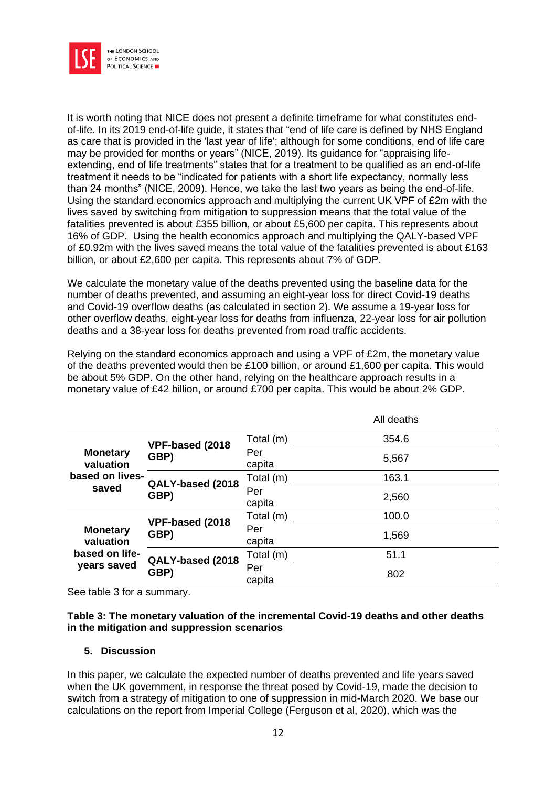

It is worth noting that NICE does not present a definite timeframe for what constitutes endof-life. In its 2019 end-of-life guide, it states that "end of life care is defined by NHS England as care that is provided in the 'last year of life'; although for some conditions, end of life care may be provided for months or years" (NICE, 2019). Its guidance for "appraising lifeextending, end of life treatments" states that for a treatment to be qualified as an end-of-life treatment it needs to be "indicated for patients with a short life expectancy, normally less than 24 months" (NICE, 2009). Hence, we take the last two years as being the end-of-life. Using the standard economics approach and multiplying the current UK VPF of £2m with the lives saved by switching from mitigation to suppression means that the total value of the fatalities prevented is about £355 billion, or about £5,600 per capita. This represents about 16% of GDP. Using the health economics approach and multiplying the QALY-based VPF of £0.92m with the lives saved means the total value of the fatalities prevented is about £163 billion, or about £2,600 per capita. This represents about 7% of GDP.

We calculate the monetary value of the deaths prevented using the baseline data for the number of deaths prevented, and assuming an eight-year loss for direct Covid-19 deaths and Covid-19 overflow deaths (as calculated in section 2). We assume a 19-year loss for other overflow deaths, eight-year loss for deaths from influenza, 22-year loss for air pollution deaths and a 38-year loss for deaths prevented from road traffic accidents.

Relying on the standard economics approach and using a VPF of £2m, the monetary value of the deaths prevented would then be £100 billion, or around £1,600 per capita. This would be about 5% GDP. On the other hand, relying on the healthcare approach results in a monetary value of £42 billion, or around £700 per capita. This would be about 2% GDP.

|                                                               |                          |               | All deaths |
|---------------------------------------------------------------|--------------------------|---------------|------------|
| <b>Monetary</b><br>valuation<br>based on lives-<br>saved      | VPF-based (2018          | Total (m)     | 354.6      |
|                                                               | GBP)                     | Per<br>capita | 5,567      |
|                                                               | QALY-based (2018<br>GBP) | Total (m)     | 163.1      |
|                                                               |                          | Per<br>capita | 2,560      |
| <b>Monetary</b><br>valuation<br>based on life-<br>years saved | VPF-based (2018          | Total (m)     | 100.0      |
|                                                               | GBP)                     | Per<br>capita | 1,569      |
|                                                               | QALY-based (2018<br>GBP) | Total (m)     | 51.1       |
|                                                               |                          | Per<br>capita | 802        |

See table 3 for a summary.

#### **Table 3: The monetary valuation of the incremental Covid-19 deaths and other deaths in the mitigation and suppression scenarios**

#### **5. Discussion**

In this paper, we calculate the expected number of deaths prevented and life years saved when the UK government, in response the threat posed by Covid-19, made the decision to switch from a strategy of mitigation to one of suppression in mid-March 2020. We base our calculations on the report from Imperial College (Ferguson et al, 2020), which was the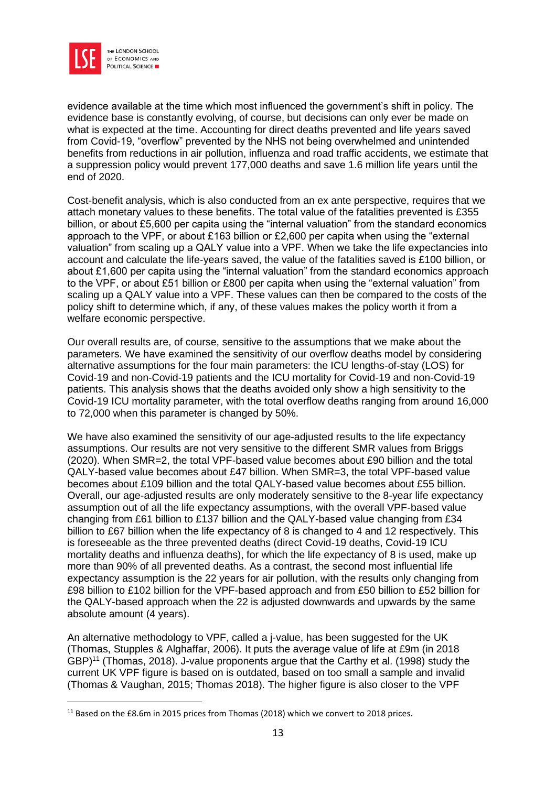

evidence available at the time which most influenced the government's shift in policy. The evidence base is constantly evolving, of course, but decisions can only ever be made on what is expected at the time. Accounting for direct deaths prevented and life years saved from Covid-19, "overflow" prevented by the NHS not being overwhelmed and unintended benefits from reductions in air pollution, influenza and road traffic accidents, we estimate that a suppression policy would prevent 177,000 deaths and save 1.6 million life years until the end of 2020.

Cost-benefit analysis, which is also conducted from an ex ante perspective, requires that we attach monetary values to these benefits. The total value of the fatalities prevented is £355 billion, or about £5,600 per capita using the "internal valuation" from the standard economics approach to the VPF, or about £163 billion or £2,600 per capita when using the "external valuation" from scaling up a QALY value into a VPF. When we take the life expectancies into account and calculate the life-years saved, the value of the fatalities saved is £100 billion, or about £1,600 per capita using the "internal valuation" from the standard economics approach to the VPF, or about £51 billion or £800 per capita when using the "external valuation" from scaling up a QALY value into a VPF. These values can then be compared to the costs of the policy shift to determine which, if any, of these values makes the policy worth it from a welfare economic perspective.

Our overall results are, of course, sensitive to the assumptions that we make about the parameters. We have examined the sensitivity of our overflow deaths model by considering alternative assumptions for the four main parameters: the ICU lengths-of-stay (LOS) for Covid-19 and non-Covid-19 patients and the ICU mortality for Covid-19 and non-Covid-19 patients. This analysis shows that the deaths avoided only show a high sensitivity to the Covid-19 ICU mortality parameter, with the total overflow deaths ranging from around 16,000 to 72,000 when this parameter is changed by 50%.

We have also examined the sensitivity of our age-adjusted results to the life expectancy assumptions. Our results are not very sensitive to the different SMR values from Briggs (2020). When SMR=2, the total VPF-based value becomes about £90 billion and the total QALY-based value becomes about £47 billion. When SMR=3, the total VPF-based value becomes about £109 billion and the total QALY-based value becomes about £55 billion. Overall, our age-adjusted results are only moderately sensitive to the 8-year life expectancy assumption out of all the life expectancy assumptions, with the overall VPF-based value changing from £61 billion to £137 billion and the QALY-based value changing from £34 billion to £67 billion when the life expectancy of 8 is changed to 4 and 12 respectively. This is foreseeable as the three prevented deaths (direct Covid-19 deaths, Covid-19 ICU mortality deaths and influenza deaths), for which the life expectancy of 8 is used, make up more than 90% of all prevented deaths. As a contrast, the second most influential life expectancy assumption is the 22 years for air pollution, with the results only changing from £98 billion to £102 billion for the VPF-based approach and from £50 billion to £52 billion for the QALY-based approach when the 22 is adjusted downwards and upwards by the same absolute amount (4 years).

An alternative methodology to VPF, called a j-value, has been suggested for the UK (Thomas, Stupples & Alghaffar, 2006). It puts the average value of life at £9m (in 2018 GBP)<sup>11</sup> (Thomas, 2018). J-value proponents argue that the Carthy et al. (1998) study the current UK VPF figure is based on is outdated, based on too small a sample and invalid (Thomas & Vaughan, 2015; Thomas 2018). The higher figure is also closer to the VPF

<sup>&</sup>lt;sup>11</sup> Based on the £8.6m in 2015 prices from Thomas (2018) which we convert to 2018 prices.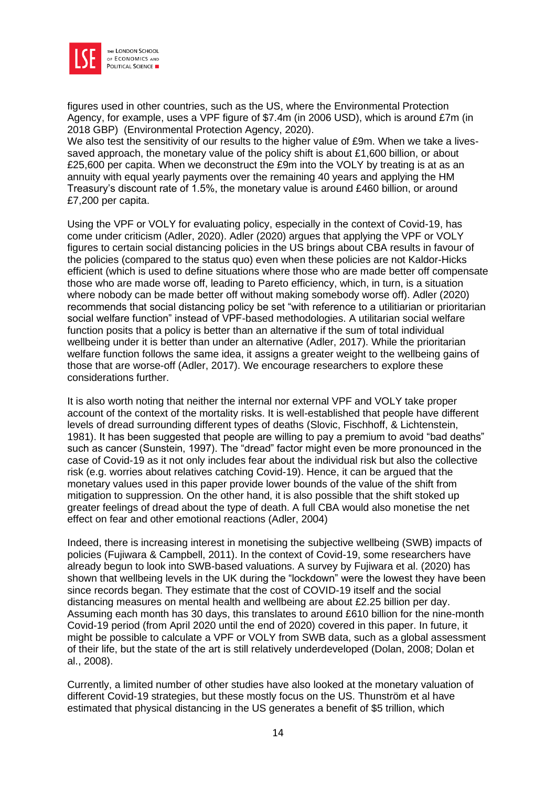

figures used in other countries, such as the US, where the Environmental Protection Agency, for example, uses a VPF figure of \$7.4m (in 2006 USD), which is around £7m (in 2018 GBP) (Environmental Protection Agency, 2020).

We also test the sensitivity of our results to the higher value of £9m. When we take a livessaved approach, the monetary value of the policy shift is about £1,600 billion, or about £25,600 per capita. When we deconstruct the £9m into the VOLY by treating is at as an annuity with equal yearly payments over the remaining 40 years and applying the HM Treasury's discount rate of 1.5%, the monetary value is around £460 billion, or around £7,200 per capita.

Using the VPF or VOLY for evaluating policy, especially in the context of Covid-19, has come under criticism (Adler, 2020). Adler (2020) argues that applying the VPF or VOLY figures to certain social distancing policies in the US brings about CBA results in favour of the policies (compared to the status quo) even when these policies are not Kaldor-Hicks efficient (which is used to define situations where those who are made better off compensate those who are made worse off, leading to Pareto efficiency, which, in turn, is a situation where nobody can be made better off without making somebody worse off). Adler (2020) recommends that social distancing policy be set "with reference to a utilitiarian or prioritarian social welfare function" instead of VPF-based methodologies. A utilitarian social welfare function posits that a policy is better than an alternative if the sum of total individual wellbeing under it is better than under an alternative (Adler, 2017). While the prioritarian welfare function follows the same idea, it assigns a greater weight to the wellbeing gains of those that are worse-off (Adler, 2017). We encourage researchers to explore these considerations further.

It is also worth noting that neither the internal nor external VPF and VOLY take proper account of the context of the mortality risks. It is well-established that people have different levels of dread surrounding different types of deaths (Slovic, Fischhoff, & Lichtenstein, 1981). It has been suggested that people are willing to pay a premium to avoid "bad deaths" such as cancer (Sunstein, 1997). The "dread" factor might even be more pronounced in the case of Covid-19 as it not only includes fear about the individual risk but also the collective risk (e.g. worries about relatives catching Covid-19). Hence, it can be argued that the monetary values used in this paper provide lower bounds of the value of the shift from mitigation to suppression. On the other hand, it is also possible that the shift stoked up greater feelings of dread about the type of death. A full CBA would also monetise the net effect on fear and other emotional reactions (Adler, 2004)

Indeed, there is increasing interest in monetising the subjective wellbeing (SWB) impacts of policies (Fujiwara & Campbell, 2011). In the context of Covid-19, some researchers have already begun to look into SWB-based valuations. A survey by Fujiwara et al. (2020) has shown that wellbeing levels in the UK during the "lockdown" were the lowest they have been since records began. They estimate that the cost of COVID-19 itself and the social distancing measures on mental health and wellbeing are about £2.25 billion per day. Assuming each month has 30 days, this translates to around £610 billion for the nine-month Covid-19 period (from April 2020 until the end of 2020) covered in this paper. In future, it might be possible to calculate a VPF or VOLY from SWB data, such as a global assessment of their life, but the state of the art is still relatively underdeveloped (Dolan, 2008; Dolan et al., 2008).

Currently, a limited number of other studies have also looked at the monetary valuation of different Covid-19 strategies, but these mostly focus on the US. Thunström et al have estimated that physical distancing in the US generates a benefit of \$5 trillion, which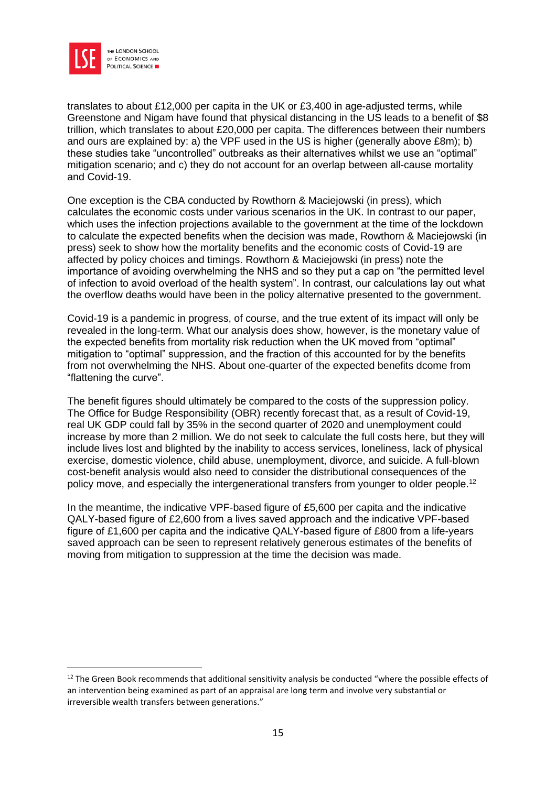

translates to about £12,000 per capita in the UK or £3,400 in age-adjusted terms, while Greenstone and Nigam have found that physical distancing in the US leads to a benefit of \$8 trillion, which translates to about £20,000 per capita. The differences between their numbers and ours are explained by: a) the VPF used in the US is higher (generally above £8m); b) these studies take "uncontrolled" outbreaks as their alternatives whilst we use an "optimal" mitigation scenario; and c) they do not account for an overlap between all-cause mortality and Covid-19.

One exception is the CBA conducted by Rowthorn & Maciejowski (in press), which calculates the economic costs under various scenarios in the UK. In contrast to our paper, which uses the infection projections available to the government at the time of the lockdown to calculate the expected benefits when the decision was made, Rowthorn & Maciejowski (in press) seek to show how the mortality benefits and the economic costs of Covid-19 are affected by policy choices and timings. Rowthorn & Maciejowski (in press) note the importance of avoiding overwhelming the NHS and so they put a cap on "the permitted level of infection to avoid overload of the health system". In contrast, our calculations lay out what the overflow deaths would have been in the policy alternative presented to the government.

Covid-19 is a pandemic in progress, of course, and the true extent of its impact will only be revealed in the long-term. What our analysis does show, however, is the monetary value of the expected benefits from mortality risk reduction when the UK moved from "optimal" mitigation to "optimal" suppression, and the fraction of this accounted for by the benefits from not overwhelming the NHS. About one-quarter of the expected benefits dcome from "flattening the curve".

The benefit figures should ultimately be compared to the costs of the suppression policy. The Office for Budge Responsibility (OBR) recently forecast that, as a result of Covid-19, real UK GDP could fall by 35% in the second quarter of 2020 and unemployment could increase by more than 2 million. We do not seek to calculate the full costs here, but they will include lives lost and blighted by the inability to access services, loneliness, lack of physical exercise, domestic violence, child abuse, unemployment, divorce, and suicide. A full-blown cost-benefit analysis would also need to consider the distributional consequences of the policy move, and especially the intergenerational transfers from younger to older people.<sup>12</sup>

In the meantime, the indicative VPF-based figure of £5,600 per capita and the indicative QALY-based figure of £2,600 from a lives saved approach and the indicative VPF-based figure of £1,600 per capita and the indicative QALY-based figure of £800 from a life-years saved approach can be seen to represent relatively generous estimates of the benefits of moving from mitigation to suppression at the time the decision was made.

<sup>&</sup>lt;sup>12</sup> The Green Book recommends that additional sensitivity analysis be conducted "where the possible effects of an intervention being examined as part of an appraisal are long term and involve very substantial or irreversible wealth transfers between generations."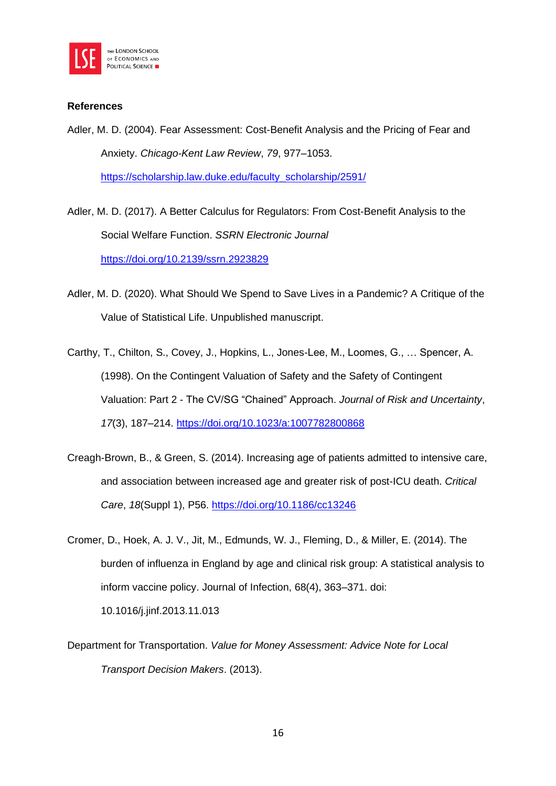

#### **References**

Adler, M. D. (2004). Fear Assessment: Cost-Benefit Analysis and the Pricing of Fear and Anxiety. *Chicago-Kent Law Review*, *79*, 977–1053. [https://scholarship.law.duke.edu/faculty\\_scholarship/2591/](https://scholarship.law.duke.edu/faculty_scholarship/2591/)

Adler, M. D. (2017). A Better Calculus for Regulators: From Cost-Benefit Analysis to the Social Welfare Function. *SSRN Electronic Journal* <https://doi.org/10.2139/ssrn.2923829>

Adler, M. D. (2020). What Should We Spend to Save Lives in a Pandemic? A Critique of the Value of Statistical Life. Unpublished manuscript.

Carthy, T., Chilton, S., Covey, J., Hopkins, L., Jones-Lee, M., Loomes, G., … Spencer, A. (1998). On the Contingent Valuation of Safety and the Safety of Contingent Valuation: Part 2 - The CV/SG "Chained" Approach. *Journal of Risk and Uncertainty*, *17*(3), 187–214.<https://doi.org/10.1023/a:1007782800868>

- Creagh-Brown, B., & Green, S. (2014). Increasing age of patients admitted to intensive care, and association between increased age and greater risk of post-ICU death. *Critical Care*, *18*(Suppl 1), P56.<https://doi.org/10.1186/cc13246>
- Cromer, D., Hoek, A. J. V., Jit, M., Edmunds, W. J., Fleming, D., & Miller, E. (2014). The burden of influenza in England by age and clinical risk group: A statistical analysis to inform vaccine policy. Journal of Infection, 68(4), 363–371. doi:

10.1016/j.jinf.2013.11.013

Department for Transportation. *Value for Money Assessment: Advice Note for Local Transport Decision Makers*. (2013).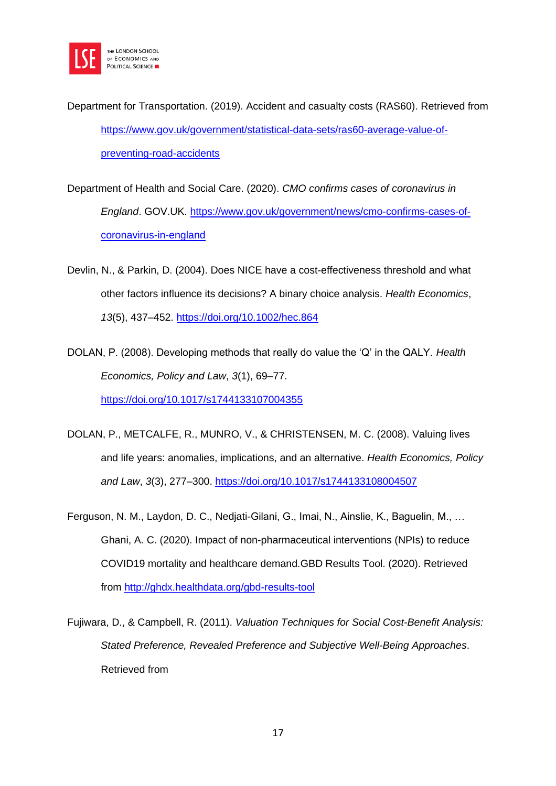

Department for Transportation. (2019). Accident and casualty costs (RAS60). Retrieved from [https://www.gov.uk/government/statistical-data-sets/ras60-average-value-of](https://www.gov.uk/government/statistical-data-sets/ras60-average-value-of-preventing-road-accidents)[preventing-road-accidents](https://www.gov.uk/government/statistical-data-sets/ras60-average-value-of-preventing-road-accidents)

- Department of Health and Social Care. (2020). *CMO confirms cases of coronavirus in England*. GOV.UK. [https://www.gov.uk/government/news/cmo-confirms-cases-of](https://www.gov.uk/government/news/cmo-confirms-cases-of-coronavirus-in-england)[coronavirus-in-england](https://www.gov.uk/government/news/cmo-confirms-cases-of-coronavirus-in-england)
- Devlin, N., & Parkin, D. (2004). Does NICE have a cost-effectiveness threshold and what other factors influence its decisions? A binary choice analysis. *Health Economics*, *13*(5), 437–452.<https://doi.org/10.1002/hec.864>

DOLAN, P. (2008). Developing methods that really do value the 'Q' in the QALY. *Health Economics, Policy and Law*, *3*(1), 69–77. <https://doi.org/10.1017/s1744133107004355>

- DOLAN, P., METCALFE, R., MUNRO, V., & CHRISTENSEN, M. C. (2008). Valuing lives and life years: anomalies, implications, and an alternative. *Health Economics, Policy and Law*, *3*(3), 277–300.<https://doi.org/10.1017/s1744133108004507>
- Ferguson, N. M., Laydon, D. C., Nedjati-Gilani, G., Imai, N., Ainslie, K., Baguelin, M., … Ghani, A. C. (2020). Impact of non-pharmaceutical interventions (NPIs) to reduce COVID19 mortality and healthcare demand.GBD Results Tool. (2020). Retrieved from <http://ghdx.healthdata.org/gbd-results-tool>
- Fujiwara, D., & Campbell, R. (2011). *Valuation Techniques for Social Cost-Benefit Analysis: Stated Preference, Revealed Preference and Subjective Well-Being Approaches*. Retrieved from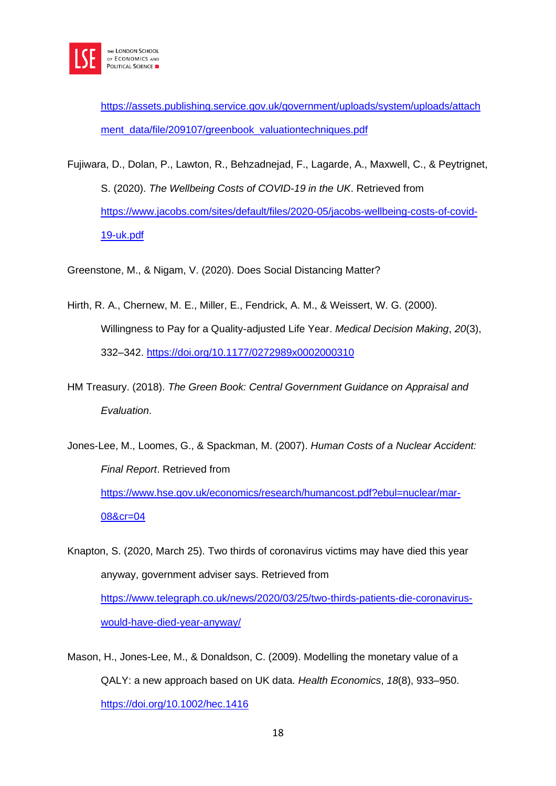

[https://assets.publishing.service.gov.uk/government/uploads/system/uploads/attach](https://assets.publishing.service.gov.uk/government/uploads/system/uploads/attachment_data/file/209107/greenbook_valuationtechniques.pdf) [ment\\_data/file/209107/greenbook\\_valuationtechniques.pdf](https://assets.publishing.service.gov.uk/government/uploads/system/uploads/attachment_data/file/209107/greenbook_valuationtechniques.pdf)

Fujiwara, D., Dolan, P., Lawton, R., Behzadnejad, F., Lagarde, A., Maxwell, C., & Peytrignet, S. (2020). *The Wellbeing Costs of COVID-19 in the UK*. Retrieved from [https://www.jacobs.com/sites/default/files/2020-05/jacobs-wellbeing-costs-of-covid-](https://www.jacobs.com/sites/default/files/2020-05/jacobs-wellbeing-costs-of-covid-19-uk.pdf)[19-uk.pdf](https://www.jacobs.com/sites/default/files/2020-05/jacobs-wellbeing-costs-of-covid-19-uk.pdf)

Greenstone, M., & Nigam, V. (2020). Does Social Distancing Matter?

- Hirth, R. A., Chernew, M. E., Miller, E., Fendrick, A. M., & Weissert, W. G. (2000). Willingness to Pay for a Quality-adjusted Life Year. *Medical Decision Making*, *20*(3), 332–342.<https://doi.org/10.1177/0272989x0002000310>
- HM Treasury. (2018). *The Green Book: Central Government Guidance on Appraisal and Evaluation*.

Jones-Lee, M., Loomes, G., & Spackman, M. (2007). *Human Costs of a Nuclear Accident: Final Report*. Retrieved from [https://www.hse.gov.uk/economics/research/humancost.pdf?ebul=nuclear/mar-](https://www.hse.gov.uk/economics/research/humancost.pdf?ebul=nuclear/mar-08&cr=04)[08&cr=04](https://www.hse.gov.uk/economics/research/humancost.pdf?ebul=nuclear/mar-08&cr=04)

Knapton, S. (2020, March 25). Two thirds of coronavirus victims may have died this year anyway, government adviser says. Retrieved from [https://www.telegraph.co.uk/news/2020/03/25/two-thirds-patients-die-coronavirus](https://www.telegraph.co.uk/news/2020/03/25/two-thirds-patients-die-coronavirus-would-have-died-year-anyway/)[would-have-died-year-anyway/](https://www.telegraph.co.uk/news/2020/03/25/two-thirds-patients-die-coronavirus-would-have-died-year-anyway/)

Mason, H., Jones-Lee, M., & Donaldson, C. (2009). Modelling the monetary value of a QALY: a new approach based on UK data. *Health Economics*, *18*(8), 933–950. <https://doi.org/10.1002/hec.1416>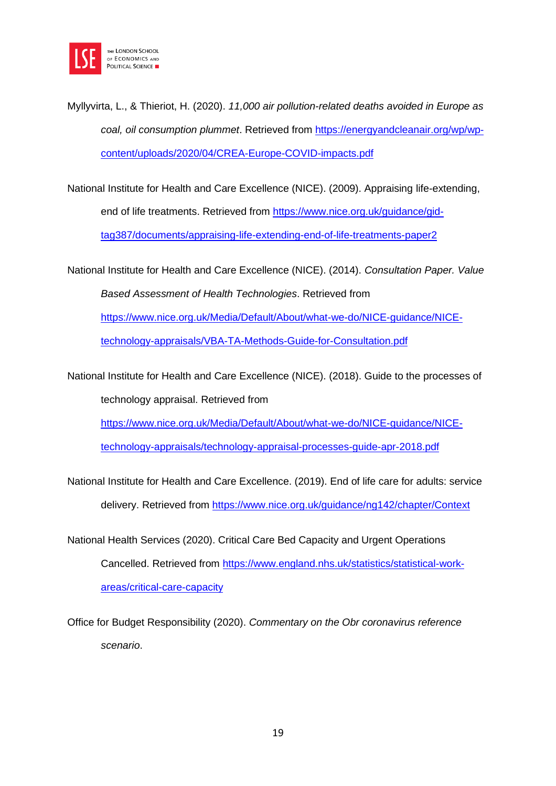

Myllyvirta, L., & Thieriot, H. (2020). *11,000 air pollution-related deaths avoided in Europe as coal, oil consumption plummet*. Retrieved from [https://energyandcleanair.org/wp/wp](https://energyandcleanair.org/wp/wp-content/uploads/2020/04/CREA-Europe-COVID-impacts.pdf)[content/uploads/2020/04/CREA-Europe-COVID-impacts.pdf](https://energyandcleanair.org/wp/wp-content/uploads/2020/04/CREA-Europe-COVID-impacts.pdf)

National Institute for Health and Care Excellence (NICE). (2009). Appraising life-extending, end of life treatments. Retrieved from [https://www.nice.org.uk/guidance/gid](https://www.nice.org.uk/guidance/gid-tag387/documents/appraising-life-extending-end-of-life-treatments-paper2)[tag387/documents/appraising-life-extending-end-of-life-treatments-paper2](https://www.nice.org.uk/guidance/gid-tag387/documents/appraising-life-extending-end-of-life-treatments-paper2)

National Institute for Health and Care Excellence (NICE). (2014). *Consultation Paper. Value* 

*Based Assessment of Health Technologies*. Retrieved from

[https://www.nice.org.uk/Media/Default/About/what-we-do/NICE-guidance/NICE-](https://www.nice.org.uk/Media/Default/About/what-we-do/NICE-guidance/NICE-technology-appraisals/VBA-TA-Methods-Guide-for-Consultation.pdf)

[technology-appraisals/VBA-TA-Methods-Guide-for-Consultation.pdf](https://www.nice.org.uk/Media/Default/About/what-we-do/NICE-guidance/NICE-technology-appraisals/VBA-TA-Methods-Guide-for-Consultation.pdf)

National Institute for Health and Care Excellence (NICE). (2018). Guide to the processes of technology appraisal. Retrieved from

[https://www.nice.org.uk/Media/Default/About/what-we-do/NICE-guidance/NICE-](https://www.nice.org.uk/Media/Default/About/what-we-do/NICE-guidance/NICE-technology-appraisals/technology-appraisal-processes-guide-apr-2018.pdf)

[technology-appraisals/technology-appraisal-processes-guide-apr-2018.pdf](https://www.nice.org.uk/Media/Default/About/what-we-do/NICE-guidance/NICE-technology-appraisals/technology-appraisal-processes-guide-apr-2018.pdf)

National Institute for Health and Care Excellence. (2019). End of life care for adults: service delivery. Retrieved from<https://www.nice.org.uk/guidance/ng142/chapter/Context>

National Health Services (2020). Critical Care Bed Capacity and Urgent Operations Cancelled. Retrieved from [https://www.england.nhs.uk/statistics/statistical-work](https://www.england.nhs.uk/statistics/statistical-work-areas/critical-care-capacity)[areas/critical-care-capacity](https://www.england.nhs.uk/statistics/statistical-work-areas/critical-care-capacity)

Office for Budget Responsibility (2020). *Commentary on the Obr coronavirus reference scenario*.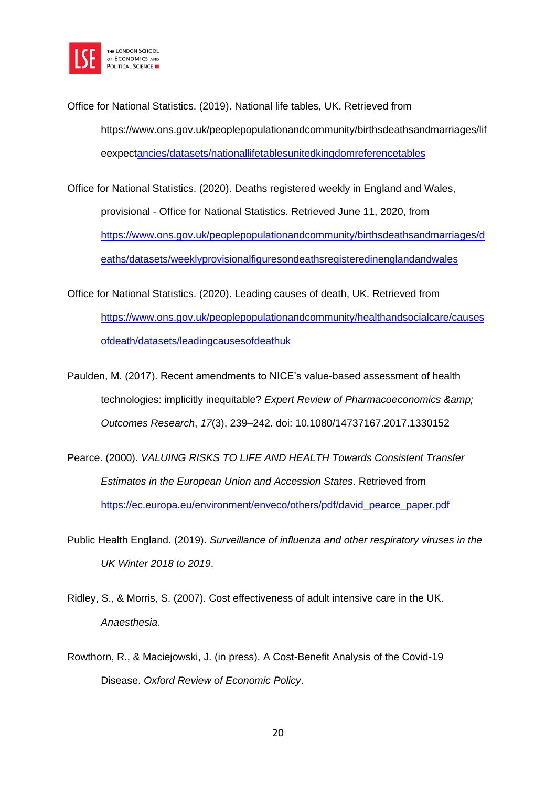

Office for National Statistics. (2019). National life tables, UK. Retrieved from https://www.ons.gov.uk/peoplepopulationandcommunity/birthsdeathsandmarriages/lif eexpec[tancies/datasets/nationallifetablesunitedkingdomreferencetables](https://www.ons.gov.uk/peoplepopulationandcommunity/birthsdeathsandmarriages/lifeexpectancies/datasets/nationallifetablesunitedkingdomreferencetables)

Office for National Statistics. (2020). Deaths registered weekly in England and Wales, provisional - Office for National Statistics. Retrieved June 11, 2020, from [https://www.ons.gov.uk/peoplepopulationandcommunity/birthsdeathsandmarriages/d](https://www.ons.gov.uk/peoplepopulationandcommunity/birthsdeathsandmarriages/deaths/datasets/weeklyprovisionalfiguresondeathsregisteredinenglandandwales) [eaths/datasets/weeklyprovisionalfiguresondeathsregisteredinenglandandwales](https://www.ons.gov.uk/peoplepopulationandcommunity/birthsdeathsandmarriages/deaths/datasets/weeklyprovisionalfiguresondeathsregisteredinenglandandwales)

- Office for National Statistics. (2020). Leading causes of death, UK. Retrieved from [https://www.ons.gov.uk/peoplepopulationandcommunity/healthandsocialcare/causes](https://www.ons.gov.uk/peoplepopulationandcommunity/healthandsocialcare/causesofdeath/datasets/leadingcausesofdeathuk) [ofdeath/datasets/leadingcausesofdeathuk](https://www.ons.gov.uk/peoplepopulationandcommunity/healthandsocialcare/causesofdeath/datasets/leadingcausesofdeathuk)
- Paulden, M. (2017). Recent amendments to NICE's value-based assessment of health technologies: implicitly inequitable? *Expert Review of Pharmacoeconomics & Outcomes Research*, *17*(3), 239–242. doi: 10.1080/14737167.2017.1330152
- Pearce. (2000). *VALUING RISKS TO LIFE AND HEALTH Towards Consistent Transfer Estimates in the European Union and Accession States*. Retrieved from [https://ec.europa.eu/environment/enveco/others/pdf/david\\_pearce\\_paper.pdf](https://ec.europa.eu/environment/enveco/others/pdf/david_pearce_paper.pdf)
- Public Health England. (2019). *Surveillance of influenza and other respiratory viruses in the UK Winter 2018 to 2019*.
- Ridley, S., & Morris, S. (2007). Cost effectiveness of adult intensive care in the UK. *Anaesthesia*.
- Rowthorn, R., & Maciejowski, J. (in press). A Cost-Benefit Analysis of the Covid-19 Disease. *Oxford Review of Economic Policy*.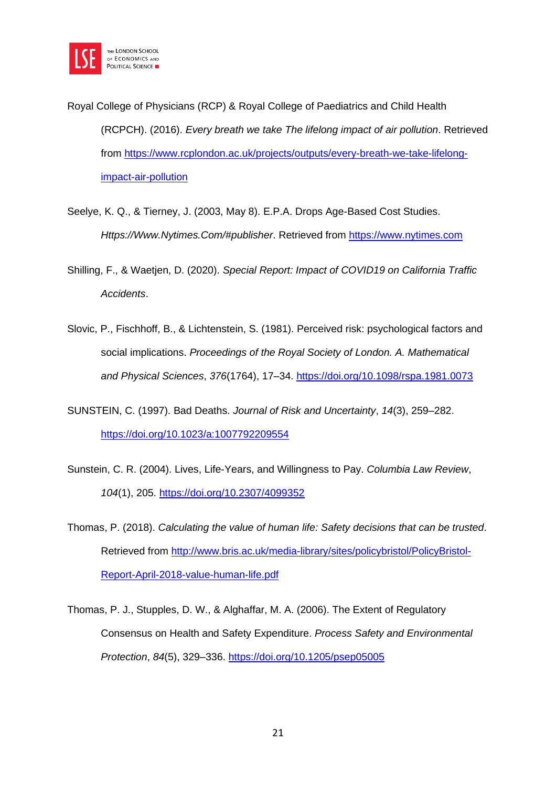

Royal College of Physicians (RCP) & Royal College of Paediatrics and Child Health (RCPCH). (2016). *Every breath we take The lifelong impact of air pollution*. Retrieved from [https://www.rcplondon.ac.uk/projects/outputs/every-breath-we-take-lifelong](https://www.rcplondon.ac.uk/projects/outputs/every-breath-we-take-lifelong-impact-air-pollution)[impact-air-pollution](https://www.rcplondon.ac.uk/projects/outputs/every-breath-we-take-lifelong-impact-air-pollution)

- Seelye, K. Q., & Tierney, J. (2003, May 8). E.P.A. Drops Age-Based Cost Studies. *Https://Www.Nytimes.Com/#publisher*. Retrieved from [https://www.nytimes.com](https://www.nytimes.com/)
- Shilling, F., & Waetjen, D. (2020). *Special Report: Impact of COVID19 on California Traffic Accidents*.
- Slovic, P., Fischhoff, B., & Lichtenstein, S. (1981). Perceived risk: psychological factors and social implications. *Proceedings of the Royal Society of London. A. Mathematical and Physical Sciences*, *376*(1764), 17–34.<https://doi.org/10.1098/rspa.1981.0073>
- SUNSTEIN, C. (1997). Bad Deaths. *Journal of Risk and Uncertainty*, *14*(3), 259–282. <https://doi.org/10.1023/a:1007792209554>
- Sunstein, C. R. (2004). Lives, Life-Years, and Willingness to Pay. *Columbia Law Review*, *104*(1), 205.<https://doi.org/10.2307/4099352>
- Thomas, P. (2018). *Calculating the value of human life: Safety decisions that can be trusted*. Retrieved from [http://www.bris.ac.uk/media-library/sites/policybristol/PolicyBristol-](http://www.bris.ac.uk/media-library/sites/policybristol/PolicyBristol-Report-April-2018-value-human-life.pdf)[Report-April-2018-value-human-life.pdf](http://www.bris.ac.uk/media-library/sites/policybristol/PolicyBristol-Report-April-2018-value-human-life.pdf)
- Thomas, P. J., Stupples, D. W., & Alghaffar, M. A. (2006). The Extent of Regulatory Consensus on Health and Safety Expenditure. *Process Safety and Environmental Protection*, *84*(5), 329–336.<https://doi.org/10.1205/psep05005>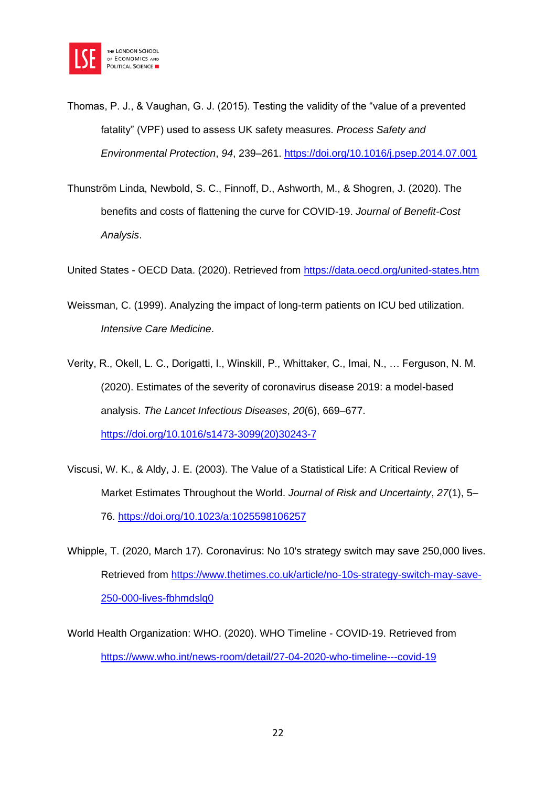

- Thomas, P. J., & Vaughan, G. J. (2015). Testing the validity of the "value of a prevented fatality" (VPF) used to assess UK safety measures. *Process Safety and Environmental Protection*, *94*, 239–261.<https://doi.org/10.1016/j.psep.2014.07.001>
- Thunström Linda, Newbold, S. C., Finnoff, D., Ashworth, M., & Shogren, J. (2020). The benefits and costs of flattening the curve for COVID-19. *Journal of Benefit-Cost Analysis*.

United States - OECD Data. (2020). Retrieved from<https://data.oecd.org/united-states.htm>

- Weissman, C. (1999). Analyzing the impact of long-term patients on ICU bed utilization. *Intensive Care Medicine*.
- Verity, R., Okell, L. C., Dorigatti, I., Winskill, P., Whittaker, C., Imai, N., … Ferguson, N. M. (2020). Estimates of the severity of coronavirus disease 2019: a model-based analysis. *The Lancet Infectious Diseases*, *20*(6), 669–677. [https://doi.org/10.1016/s1473-3099\(20\)30243-7](https://doi.org/10.1016/s1473-3099(20)30243-7)
- Viscusi, W. K., & Aldy, J. E. (2003). The Value of a Statistical Life: A Critical Review of Market Estimates Throughout the World. *Journal of Risk and Uncertainty*, *27*(1), 5– 76.<https://doi.org/10.1023/a:1025598106257>
- Whipple, T. (2020, March 17). Coronavirus: No 10's strategy switch may save 250,000 lives. Retrieved from [https://www.thetimes.co.uk/article/no-10s-strategy-switch-may-save-](https://www.thetimes.co.uk/article/no-10s-strategy-switch-may-save-250-000-lives-fbhmdslq0)[250-000-lives-fbhmdslq0](https://www.thetimes.co.uk/article/no-10s-strategy-switch-may-save-250-000-lives-fbhmdslq0)
- World Health Organization: WHO. (2020). WHO Timeline COVID-19. Retrieved from <https://www.who.int/news-room/detail/27-04-2020-who-timeline---covid-19>